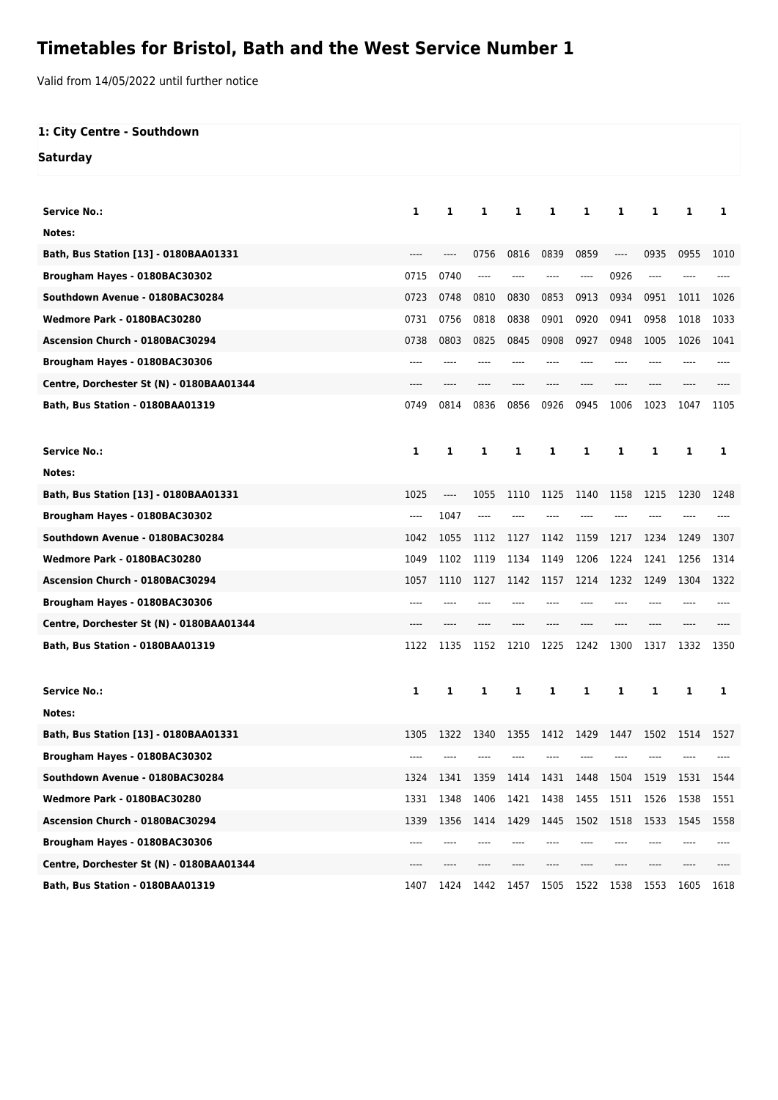## **Timetables for Bristol, Bath and the West Service Number 1**

Valid from 14/05/2022 until further notice

## **1: City Centre - Southdown**

**Saturday**

| <b>Service No.:</b>                      | 1     | 1    | 1    | 1    | 1         | 1        | 1    | 1    | 1              | 1    |
|------------------------------------------|-------|------|------|------|-----------|----------|------|------|----------------|------|
| Notes:                                   |       |      |      |      |           |          |      |      |                |      |
| Bath, Bus Station [13] - 0180BAA01331    | ----  | ---- | 0756 | 0816 | 0839      | 0859     | ---- | 0935 | 0955           | 1010 |
| Brougham Hayes - 0180BAC30302            | 0715  | 0740 | ---- | ---- |           | $\cdots$ | 0926 | ---- |                |      |
| Southdown Avenue - 0180BAC30284          | 0723  | 0748 | 0810 | 0830 | 0853      | 0913     | 0934 | 0951 | 1011           | 1026 |
| Wedmore Park - 0180BAC30280              | 0731  | 0756 | 0818 | 0838 | 0901      | 0920     | 0941 | 0958 | 1018           | 1033 |
| Ascension Church - 0180BAC30294          | 0738  | 0803 | 0825 | 0845 | 0908      | 0927     | 0948 | 1005 | 1026           | 1041 |
| Brougham Hayes - 0180BAC30306            | ----  |      |      |      |           |          | ---- |      |                |      |
| Centre, Dorchester St (N) - 0180BAA01344 |       |      |      |      |           |          |      |      |                |      |
| Bath, Bus Station - 0180BAA01319         | 0749  | 0814 | 0836 | 0856 | 0926      | 0945     | 1006 | 1023 | 1047           | 1105 |
|                                          |       |      |      |      |           |          |      |      |                |      |
| <b>Service No.:</b>                      | 1     | 1    | 1    | 1    | 1         | 1        | 1    | 1    | 1              | 1    |
| Notes:                                   |       |      |      |      |           |          |      |      |                |      |
| Bath, Bus Station [13] - 0180BAA01331    | 1025  | ---- | 1055 | 1110 | 1125      | 1140     | 1158 | 1215 | 1230           | 1248 |
| Brougham Hayes - 0180BAC30302            | ----  | 1047 | ---- |      |           |          |      |      |                |      |
| Southdown Avenue - 0180BAC30284          | 1042  | 1055 | 1112 | 1127 | 1142      | 1159     | 1217 | 1234 | 1249           | 1307 |
| Wedmore Park - 0180BAC30280              | 1049  | 1102 | 1119 | 1134 | 1149      | 1206     | 1224 | 1241 | 1256           | 1314 |
| Ascension Church - 0180BAC30294          | 1057  | 1110 | 1127 | 1142 | 1157      | 1214     | 1232 | 1249 | 1304           | 1322 |
| Brougham Hayes - 0180BAC30306            | ----  | ---- |      |      |           | $---$    | ---- |      |                |      |
| Centre, Dorchester St (N) - 0180BAA01344 | $---$ |      |      | ---- |           | $---$    | ---- | ---- |                |      |
| Bath, Bus Station - 0180BAA01319         | 1122  | 1135 | 1152 | 1210 | 1225      | 1242     | 1300 | 1317 | 1332           | 1350 |
|                                          |       |      |      |      |           |          |      |      |                |      |
| <b>Service No.:</b>                      | 1     | 1    | 1    | 1    | 1         | 1        | 1    | 1    | 1              | 1    |
| Notes:                                   |       |      |      |      |           |          |      |      |                |      |
| Bath, Bus Station [13] - 0180BAA01331    | 1305  | 1322 | 1340 | 1355 | 1412      | 1429     | 1447 | 1502 | 1514           | 1527 |
| Brougham Hayes - 0180BAC30302            |       |      |      |      |           |          |      |      |                |      |
| Southdown Avenue - 0180BAC30284          | 1324  | 1341 | 1359 | 1414 | 1431 1448 |          | 1504 |      | 1519 1531 1544 |      |
| Wedmore Park - 0180BAC30280              | 1331  | 1348 | 1406 | 1421 | 1438      | 1455     | 1511 | 1526 | 1538           | 1551 |
| Ascension Church - 0180BAC30294          | 1339  | 1356 | 1414 | 1429 | 1445      | 1502     | 1518 | 1533 | 1545           | 1558 |
| Brougham Hayes - 0180BAC30306            | ----  |      |      |      |           |          |      |      |                |      |
| Centre, Dorchester St (N) - 0180BAA01344 | ----  |      |      |      |           |          |      |      |                |      |
| Bath, Bus Station - 0180BAA01319         | 1407  | 1424 | 1442 | 1457 | 1505      | 1522     | 1538 | 1553 | 1605           | 1618 |